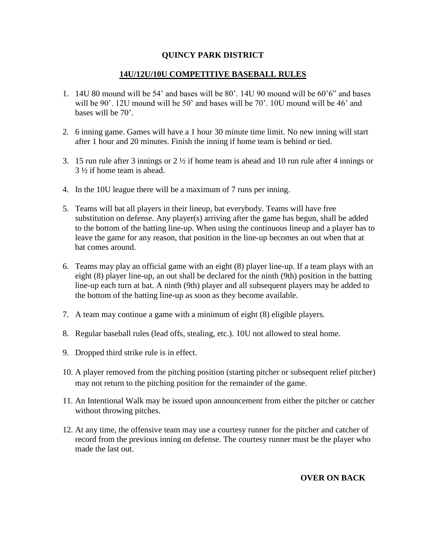## **QUINCY PARK DISTRICT**

## **14U/12U/10U COMPETITIVE BASEBALL RULES**

- 1. 14U 80 mound will be 54' and bases will be 80'. 14U 90 mound will be 60'6" and bases will be 90'. 12U mound will be 50' and bases will be 70'. 10U mound will be 46' and bases will be 70'.
- 2. 6 inning game. Games will have a 1 hour 30 minute time limit. No new inning will start after 1 hour and 20 minutes. Finish the inning if home team is behind or tied.
- 3. 15 run rule after 3 innings or 2 ½ if home team is ahead and 10 run rule after 4 innings or 3 ½ if home team is ahead.
- 4. In the 10U league there will be a maximum of 7 runs per inning.
- 5. Teams will bat all players in their lineup, bat everybody. Teams will have free substitution on defense. Any player(s) arriving after the game has begun, shall be added to the bottom of the batting line-up. When using the continuous lineup and a player has to leave the game for any reason, that position in the line-up becomes an out when that at bat comes around.
- 6. Teams may play an official game with an eight (8) player line-up. If a team plays with an eight (8) player line-up, an out shall be declared for the ninth (9th) position in the batting line-up each turn at bat. A ninth (9th) player and all subsequent players may be added to the bottom of the batting line-up as soon as they become available.
- 7. A team may continue a game with a minimum of eight (8) eligible players.
- 8. Regular baseball rules (lead offs, stealing, etc.). 10U not allowed to steal home.
- 9. Dropped third strike rule is in effect.
- 10. A player removed from the pitching position (starting pitcher or subsequent relief pitcher) may not return to the pitching position for the remainder of the game.
- 11. An Intentional Walk may be issued upon announcement from either the pitcher or catcher without throwing pitches.
- 12. At any time, the offensive team may use a courtesy runner for the pitcher and catcher of record from the previous inning on defense. The courtesy runner must be the player who made the last out.

## **OVER ON BACK**